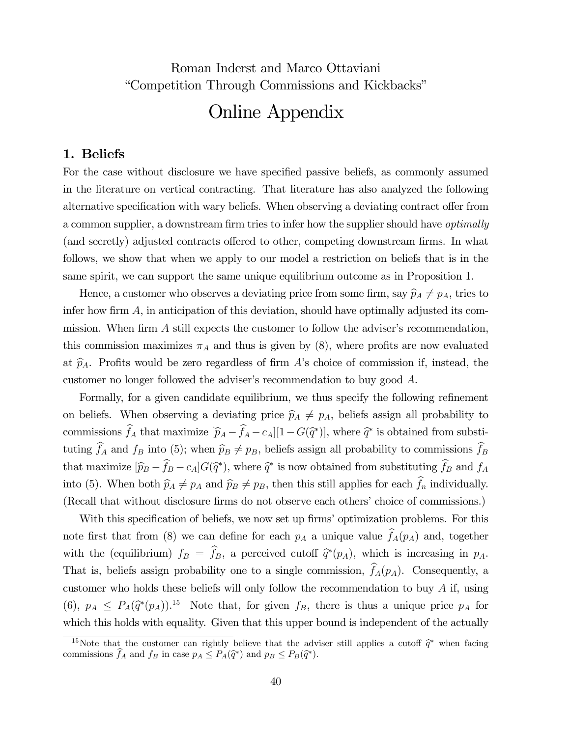Roman Inderst and Marco Ottaviani "Competition Through Commissions and Kickbacks"

# Online Appendix

## 1. Beliefs

For the case without disclosure we have specified passive beliefs, as commonly assumed in the literature on vertical contracting. That literature has also analyzed the following alternative specification with wary beliefs. When observing a deviating contract offer from a common supplier, a downstream firm tries to infer how the supplier should have optimally (and secretly) adjusted contracts offered to other, competing downstream firms. In what follows, we show that when we apply to our model a restriction on beliefs that is in the same spirit, we can support the same unique equilibrium outcome as in Proposition 1.

Hence, a customer who observes a deviating price from some firm, say  $\widehat{p}_A \neq p_A$ , tries to infer how firm  $A$ , in anticipation of this deviation, should have optimally adjusted its commission. When firm A still expects the customer to follow the adviser's recommendation, this commission maximizes  $\pi_A$  and thus is given by (8), where profits are now evaluated at  $\hat{p}_A$ . Profits would be zero regardless of firm A's choice of commission if, instead, the customer no longer followed the adviser's recommendation to buy good A.

Formally, for a given candidate equilibrium, we thus specify the following refinement on beliefs. When observing a deviating price  $\widehat{p}_A \neq p_A$ , beliefs assign all probability to commissions  $f_A$  that maximize  $[\hat{p}_A - f_A - c_A][1 - G(\hat{q}^*)]$ , where  $\hat{q}^*$  is obtained from substituting  $f_A$  and  $f_B$  into (5); when  $\hat{p}_B \neq p_B$ , beliefs assign all probability to commissions  $f_B$ that maximize  $[\hat{p}_B - f_B - c_A] G(\hat{q}^*)$ , where  $\hat{q}^*$  is now obtained from substituting  $f_B$  and  $f_A$ into (5). When both  $\hat{p}_A \neq p_A$  and  $\hat{p}_B \neq p_B$ , then this still applies for each  $f_n$  individually. (Recall that without disclosure firms do not observe each others' choice of commissions.)

With this specification of beliefs, we now set up firms' optimization problems. For this note first that from (8) we can define for each  $p_A$  a unique value  $f_A(p_A)$  and, together with the (equilibrium)  $f_B = f_B$ , a perceived cutoff  $\hat{q}*(p_A)$ , which is increasing in  $p_A$ . That is, beliefs assign probability one to a single commission,  $f_A(p_A)$ . Consequently, a customer who holds these beliefs will only follow the recommendation to buy A if, using (6),  $p_A \n\leq P_A(\hat{q}^*(p_A))$ .<sup>15</sup> Note that, for given  $f_B$ , there is thus a unique price  $p_A$  for which this holds with equality. Given that this upper bound is independent of the actually

<sup>&</sup>lt;sup>15</sup>Note that the customer can rightly believe that the adviser still applies a cutoff  $\hat{q}^*$  when facing commissions  $f_A$  and  $f_B$  in case  $p_A \leq P_A(\hat{q}^*)$  and  $p_B \leq P_B(\hat{q}^*)$ .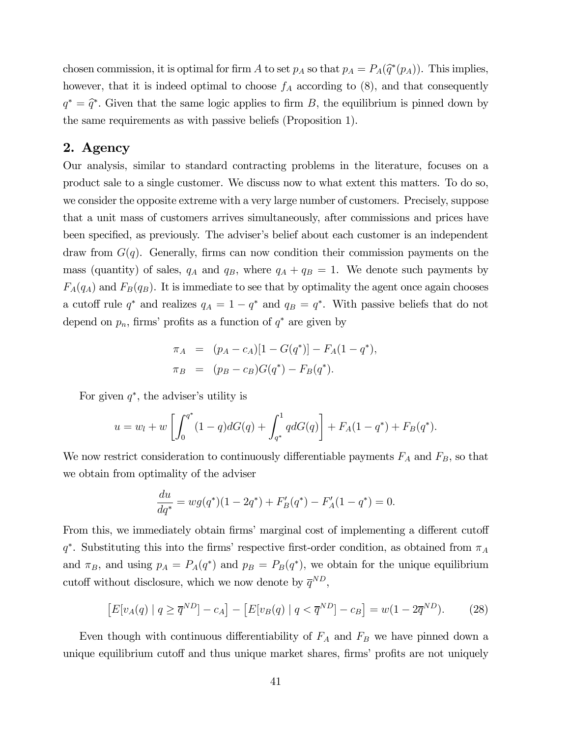chosen commission, it is optimal for firm A to set  $p_A$  so that  $p_A = P_A(\hat{q}^*(p_A))$ . This implies, however, that it is indeed optimal to choose  $f_A$  according to  $(8)$ , and that consequently  $q^* = \hat{q}^*$ . Given that the same logic applies to firm B, the equilibrium is pinned down by the same requirements as with passive beliefs (Proposition 1).

# 2. Agency

Our analysis, similar to standard contracting problems in the literature, focuses on a product sale to a single customer. We discuss now to what extent this matters. To do so, we consider the opposite extreme with a very large number of customers. Precisely, suppose that a unit mass of customers arrives simultaneously, after commissions and prices have been specified, as previously. The adviser's belief about each customer is an independent draw from  $G(q)$ . Generally, firms can now condition their commission payments on the mass (quantity) of sales,  $q_A$  and  $q_B$ , where  $q_A + q_B = 1$ . We denote such payments by  $F_A(q_A)$  and  $F_B(q_B)$ . It is immediate to see that by optimality the agent once again chooses a cutoff rule  $q^*$  and realizes  $q_A = 1 - q^*$  and  $q_B = q^*$ . With passive beliefs that do not depend on  $p_n$ , firms' profits as a function of  $q^*$  are given by

$$
\pi_A = (p_A - c_A)[1 - G(q^*)] - F_A(1 - q^*),
$$
  
\n
$$
\pi_B = (p_B - c_B)G(q^*) - F_B(q^*).
$$

For given  $q^*$ , the adviser's utility is

$$
u = w_l + w \left[ \int_0^{q^*} (1-q)dG(q) + \int_{q^*}^1 qdG(q) \right] + F_A(1-q^*) + F_B(q^*).
$$

We now restrict consideration to continuously differentiable payments  $F_A$  and  $F_B$ , so that we obtain from optimality of the adviser

$$
\frac{du}{dq^*} = wg(q^*)(1 - 2q^*) + F'_B(q^*) - F'_A(1 - q^*) = 0.
$$

From this, we immediately obtain firms' marginal cost of implementing a different cutoff  $q^*$ . Substituting this into the firms' respective first-order condition, as obtained from  $\pi_A$ and  $\pi_B$ , and using  $p_A = P_A(q^*)$  and  $p_B = P_B(q^*)$ , we obtain for the unique equilibrium cutoff without disclosure, which we now denote by  $\overline{q}^{ND}$ ,

$$
\left[E[v_A(q) \mid q \ge \overline{q}^{ND}\right] - c_A\right] - \left[E[v_B(q) \mid q < \overline{q}^{ND}\right] - c_B\right] = w(1 - 2\overline{q}^{ND}).\tag{28}
$$

Even though with continuous differentiability of  $F_A$  and  $F_B$  we have pinned down a unique equilibrium cutoff and thus unique market shares, firms' profits are not uniquely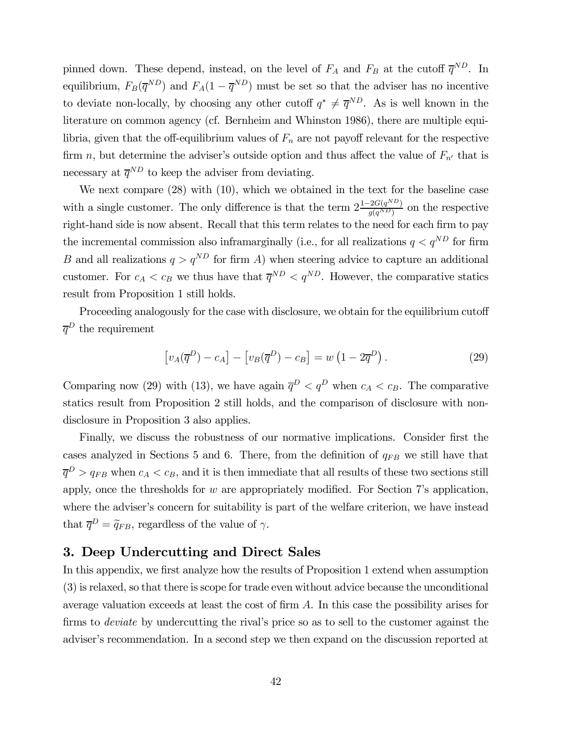pinned down. These depend, instead, on the level of  $F_A$  and  $F_B$  at the cutoff  $\overline{q}^{ND}$ . In equilibrium,  $F_B(\overline{q}^{ND})$  and  $F_A(1-\overline{q}^{ND})$  must be set so that the adviser has no incentive to deviate non-locally, by choosing any other cutoff  $q^* \neq \overline{q}^{ND}$ . As is well known in the literature on common agency (cf. Bernheim and Whinston 1986), there are multiple equilibria, given that the off-equilibrium values of  $F_n$  are not payoff relevant for the respective firm n, but determine the adviser's outside option and thus affect the value of  $F_{n'}$  that is necessary at  $\overline{q}^{ND}$  to keep the adviser from deviating.

We next compare (28) with (10), which we obtained in the text for the baseline case with a single customer. The only difference is that the term  $2\frac{1-2G(q^{ND})}{g(q^{ND})}$  on the respective right-hand side is now absent. Recall that this term relates to the need for each firm to pay the incremental commission also inframarginally (i.e., for all realizations  $q \lt q^{ND}$  for firm B and all realizations  $q>q^{ND}$  for firm A) when steering advice to capture an additional customer. For  $c_A < c_B$  we thus have that  $\overline{q}^{ND} < q^{ND}$ . However, the comparative statics result from Proposition 1 still holds.

Proceeding analogously for the case with disclosure, we obtain for the equilibrium cutoff  $\overline{q}^D$  the requirement

$$
\left[v_A(\overline{q}^D) - c_A\right] - \left[v_B(\overline{q}^D) - c_B\right] = w\left(1 - 2\overline{q}^D\right). \tag{29}
$$

Comparing now (29) with (13), we have again  $\overline{q}^D < q^D$  when  $c_A < c_B$ . The comparative statics result from Proposition 2 still holds, and the comparison of disclosure with nondisclosure in Proposition 3 also applies.

Finally, we discuss the robustness of our normative implications. Consider first the cases analyzed in Sections 5 and 6. There, from the definition of  $q_{FB}$  we still have that  $\overline{q}^D > q_{FB}$  when  $c_A < c_B$ , and it is then immediate that all results of these two sections still apply, once the thresholds for w are appropriately modified. For Section 7's application, where the adviser's concern for suitability is part of the welfare criterion, we have instead that  $\overline{q}^D = \widetilde{q}_{FB}$ , regardless of the value of  $\gamma$ .

# 3. Deep Undercutting and Direct Sales

In this appendix, we first analyze how the results of Proposition 1 extend when assumption (3) is relaxed, so that there is scope for trade even without advice because the unconditional average valuation exceeds at least the cost of firm A. In this case the possibility arises for firms to deviate by undercutting the rival's price so as to sell to the customer against the adviser's recommendation. In a second step we then expand on the discussion reported at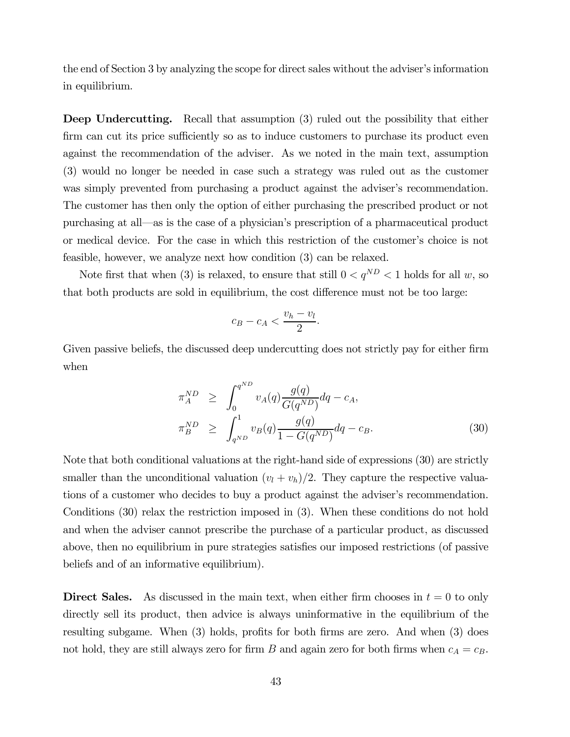the end of Section 3 by analyzing the scope for direct sales without the adviser's information in equilibrium.

Deep Undercutting. Recall that assumption (3) ruled out the possibility that either firm can cut its price sufficiently so as to induce customers to purchase its product even against the recommendation of the adviser. As we noted in the main text, assumption (3) would no longer be needed in case such a strategy was ruled out as the customer was simply prevented from purchasing a product against the adviser's recommendation. The customer has then only the option of either purchasing the prescribed product or not purchasing at all–as is the case of a physician's prescription of a pharmaceutical product or medical device. For the case in which this restriction of the customer's choice is not feasible, however, we analyze next how condition (3) can be relaxed.

Note first that when (3) is relaxed, to ensure that still  $0 < q^{ND} < 1$  holds for all w, so that both products are sold in equilibrium, the cost difference must not be too large:

$$
c_B - c_A < \frac{v_h - v_l}{2}.
$$

Given passive beliefs, the discussed deep undercutting does not strictly pay for either firm when

$$
\pi_A^{ND} \ge \int_0^{q^{ND}} v_A(q) \frac{g(q)}{G(q^{ND})} dq - c_A,
$$
  
\n
$$
\pi_B^{ND} \ge \int_{q^{ND}}^1 v_B(q) \frac{g(q)}{1 - G(q^{ND})} dq - c_B.
$$
\n(30)

Note that both conditional valuations at the right-hand side of expressions (30) are strictly smaller than the unconditional valuation  $(v_l + v_h)/2$ . They capture the respective valuations of a customer who decides to buy a product against the adviser's recommendation. Conditions (30) relax the restriction imposed in (3). When these conditions do not hold and when the adviser cannot prescribe the purchase of a particular product, as discussed above, then no equilibrium in pure strategies satisfies our imposed restrictions (of passive beliefs and of an informative equilibrium).

**Direct Sales.** As discussed in the main text, when either firm chooses in  $t = 0$  to only directly sell its product, then advice is always uninformative in the equilibrium of the resulting subgame. When (3) holds, profits for both firms are zero. And when (3) does not hold, they are still always zero for firm B and again zero for both firms when  $c_A = c_B$ .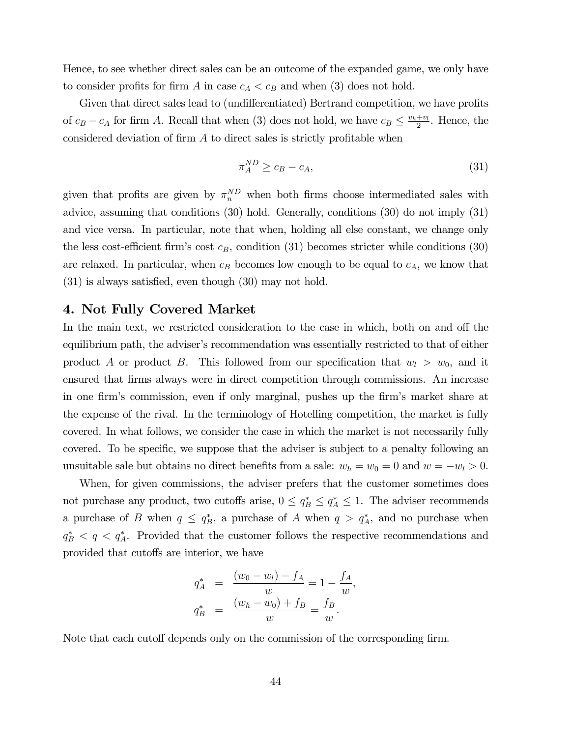Hence, to see whether direct sales can be an outcome of the expanded game, we only have to consider profits for firm A in case  $c_A < c_B$  and when (3) does not hold.

Given that direct sales lead to (undifferentiated) Bertrand competition, we have profits of  $c_B - c_A$  for firm A. Recall that when (3) does not hold, we have  $c_B \leq \frac{v_h + v_l}{2}$ . Hence, the considered deviation of firm  $A$  to direct sales is strictly profitable when

$$
\pi_A^{ND} \ge c_B - c_A,\tag{31}
$$

given that profits are given by  $\pi_n^{ND}$  when both firms choose intermediated sales with advice, assuming that conditions (30) hold. Generally, conditions (30) do not imply (31) and vice versa. In particular, note that when, holding all else constant, we change only the less cost-efficient firm's cost  $c_B$ , condition (31) becomes stricter while conditions (30) are relaxed. In particular, when  $c_B$  becomes low enough to be equal to  $c_A$ , we know that (31) is always satisfied, even though (30) may not hold.

#### 4. Not Fully Covered Market

In the main text, we restricted consideration to the case in which, both on and off the equilibrium path, the adviser's recommendation was essentially restricted to that of either product A or product B. This followed from our specification that  $w_l > w_0$ , and it ensured that firms always were in direct competition through commissions. An increase in one firm's commission, even if only marginal, pushes up the firm's market share at the expense of the rival. In the terminology of Hotelling competition, the market is fully covered. In what follows, we consider the case in which the market is not necessarily fully covered. To be specific, we suppose that the adviser is subject to a penalty following an unsuitable sale but obtains no direct benefits from a sale:  $w_h = w_0 = 0$  and  $w = -w_l > 0$ .

When, for given commissions, the adviser prefers that the customer sometimes does not purchase any product, two cutoffs arise,  $0 \le q_B^* \le q_A^* \le 1$ . The adviser recommends a purchase of B when  $q \leq q_B^*$ , a purchase of A when  $q > q_A^*$ , and no purchase when  $q_B^* \leq q \leq q_A^*$ . Provided that the customer follows the respective recommendations and provided that cutoffs are interior, we have

$$
q_A^* = \frac{(w_0 - w_l) - f_A}{w} = 1 - \frac{f_A}{w},
$$
  

$$
q_B^* = \frac{(w_h - w_0) + f_B}{w} = \frac{f_B}{w}.
$$

Note that each cutoff depends only on the commission of the corresponding firm.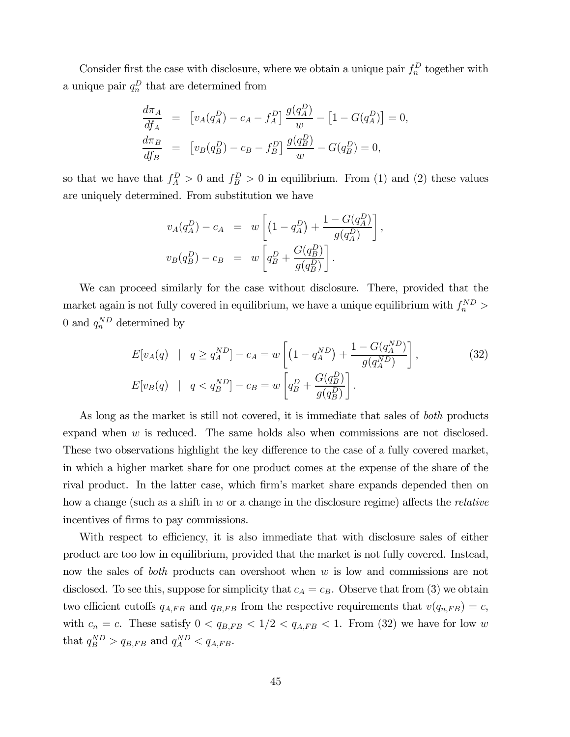Consider first the case with disclosure, where we obtain a unique pair  $f_n^D$  together with a unique pair  $q_n^D$  that are determined from

$$
\frac{d\pi_A}{df_A} = [v_A(q_A^D) - c_A - f_A^D] \frac{g(q_A^D)}{w} - [1 - G(q_A^D)] = 0,\n\frac{d\pi_B}{df_B} = [v_B(q_B^D) - c_B - f_B^D] \frac{g(q_B^D)}{w} - G(q_B^D) = 0,
$$

so that we have that  $f_A^D > 0$  and  $f_B^D > 0$  in equilibrium. From (1) and (2) these values are uniquely determined. From substitution we have

$$
v_A(q_A^D) - c_A = w \left[ \left( 1 - q_A^D \right) + \frac{1 - G(q_A^D)}{g(q_A^D)} \right],
$$
  

$$
v_B(q_B^D) - c_B = w \left[ q_B^D + \frac{G(q_B^D)}{g(q_B^D)} \right].
$$

We can proceed similarly for the case without disclosure. There, provided that the market again is not fully covered in equilibrium, we have a unique equilibrium with  $f_n^{ND}$  > 0 and  $q_n^{ND}$  determined by

$$
E[v_A(q) \mid q \ge q_A^{ND}] - c_A = w \left[ \left( 1 - q_A^{ND} \right) + \frac{1 - G(q_A^{ND})}{g(q_A^{ND})} \right],
$$
\n
$$
E[v_B(q) \mid q < q_B^{ND}] - c_B = w \left[ q_B^D + \frac{G(q_B^D)}{g(q_B^D)} \right].
$$
\n(32)

As long as the market is still not covered, it is immediate that sales of *both* products expand when  $w$  is reduced. The same holds also when commissions are not disclosed. These two observations highlight the key difference to the case of a fully covered market, in which a higher market share for one product comes at the expense of the share of the rival product. In the latter case, which firm's market share expands depended then on how a change (such as a shift in  $w$  or a change in the disclosure regime) affects the *relative* incentives of firms to pay commissions.

With respect to efficiency, it is also immediate that with disclosure sales of either product are too low in equilibrium, provided that the market is not fully covered. Instead, now the sales of *both* products can overshoot when w is low and commissions are not disclosed. To see this, suppose for simplicity that  $c_A = c_B$ . Observe that from (3) we obtain two efficient cutoffs  $q_{A,FB}$  and  $q_{B,FB}$  from the respective requirements that  $v(q_{n,FB}) = c$ , with  $c_n = c$ . These satisfy  $0 < q_{B,FB} < 1/2 < q_{A,FB} < 1$ . From (32) we have for low w that  $q_B^{ND} > q_{B,FB}$  and  $q_A^{ND} < q_{A,FB}$ .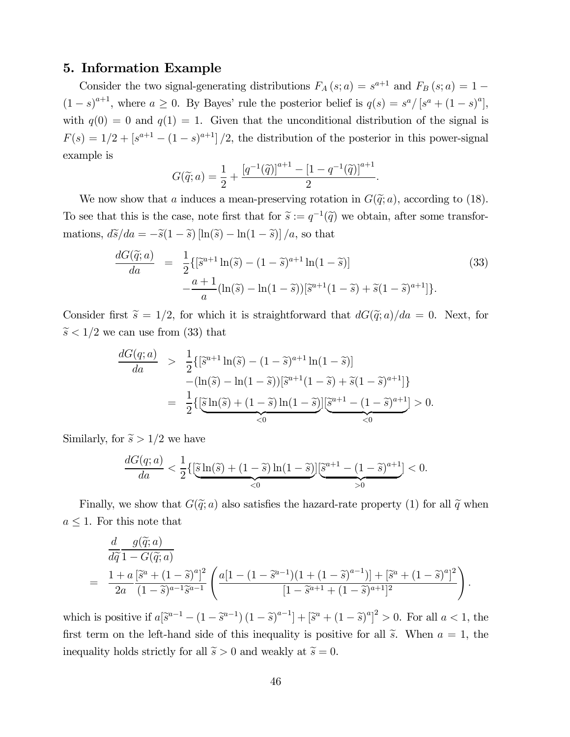### 5. Information Example

Consider the two signal-generating distributions  $F_A(s; a) = s^{a+1}$  and  $F_B(s; a) = 1 (1-s)^{a+1}$ , where  $a \ge 0$ . By Bayes' rule the posterior belief is  $q(s) = s^a/[s^a + (1-s)^a]$ , with  $q(0) = 0$  and  $q(1) = 1$ . Given that the unconditional distribution of the signal is  $F(s)=1/2+[s^{a+1}-(1-s)^{a+1}]/2$ , the distribution of the posterior in this power-signal example is

$$
G(\widetilde{q};a) = \frac{1}{2} + \frac{[q^{-1}(\widetilde{q})]^{a+1} - [1 - q^{-1}(\widetilde{q})]^{a+1}}{2}.
$$

We now show that a induces a mean-preserving rotation in  $G(\tilde{q}; a)$ , according to (18). To see that this is the case, note first that for  $\tilde{s} := q^{-1}(\tilde{q})$  we obtain, after some transformations,  $d\tilde{s}/da = -\tilde{s}(1-\tilde{s})\left[\ln(\tilde{s}) - \ln(1-\tilde{s})\right]/a$ , so that

$$
\frac{dG(\tilde{q};a)}{da} = \frac{1}{2} \{ [\tilde{s}^{a+1} \ln(\tilde{s}) - (1-\tilde{s})^{a+1} \ln(1-\tilde{s})] -\frac{a+1}{a} (\ln(\tilde{s}) - \ln(1-\tilde{s})) [\tilde{s}^{a+1}(1-\tilde{s}) + \tilde{s}(1-\tilde{s})^{a+1}] \}.
$$
\n(33)

Consider first  $\tilde{s} = 1/2$ , for which it is straightforward that  $dG(\tilde{q}; a)/da = 0$ . Next, for  $\widetilde{s}$  < 1/2 we can use from (33) that

$$
\frac{dG(q;a)}{da} > \frac{1}{2} \{ [\tilde{s}^{a+1} \ln(\tilde{s}) - (1 - \tilde{s})^{a+1} \ln(1 - \tilde{s})] - (\ln(\tilde{s}) - \ln(1 - \tilde{s})) [\tilde{s}^{a+1}(1 - \tilde{s}) + \tilde{s}(1 - \tilde{s})^{a+1}] \}
$$
  
= 
$$
\frac{1}{2} \{ [\tilde{s} \ln(\tilde{s}) + (1 - \tilde{s}) \ln(1 - \tilde{s})] [\tilde{s}^{a+1} - (1 - \tilde{s})^{a+1}] > 0.
$$

Similarly, for  $\tilde{s} > 1/2$  we have

$$
\frac{dG(q;a)}{da} < \frac{1}{2} \left\{ \left[ \widetilde{\mathbf{S}} \ln(\widetilde{s}) + (1 - \widetilde{s}) \ln(1 - \widetilde{s}) \right] \left[ \widetilde{\mathbf{S}}^{a+1} - (1 - \widetilde{s})^{a+1} \right] < 0.
$$

Finally, we show that  $G(\tilde{q}; a)$  also satisfies the hazard-rate property (1) for all  $\tilde{q}$  when  $a \leq 1$ . For this note that

$$
\frac{d}{d\tilde{q}} \frac{g(\tilde{q}; a)}{1 - G(\tilde{q}; a)} = \frac{1 + a \left[\tilde{s}^{a} + (1 - \tilde{s})^{a}\right]^{2}}{2a} \frac{a \left[1 - (1 - \tilde{s}^{a-1})(1 + (1 - \tilde{s})^{a-1})\right] + \left[\tilde{s}^{a} + (1 - \tilde{s})^{a}\right]^{2}}{\left[1 - \tilde{s}^{a+1} + (1 - \tilde{s})^{a+1}\right]^{2}}.
$$

which is positive if  $a[\tilde{s}^{a-1} - (1 - \tilde{s}^{a-1})(1 - \tilde{s})^{a-1}] + [\tilde{s}^{a} + (1 - \tilde{s})^{a}]^{2} > 0$ . For all  $a < 1$ , the first term on the left-hand side of this inequality is positive for all  $\tilde{s}$ . When  $a = 1$ , the inequality holds strictly for all  $\tilde{s} > 0$  and weakly at  $\tilde{s} = 0$ .